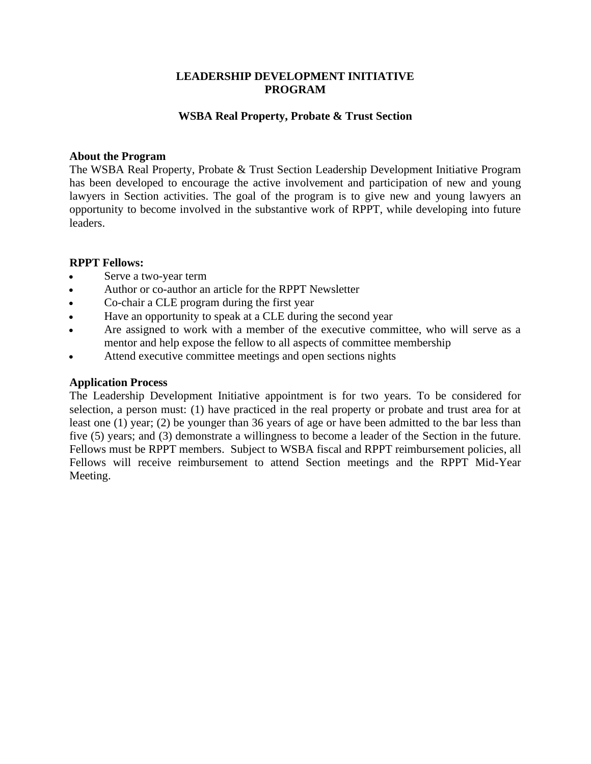### **LEADERSHIP DEVELOPMENT INITIATIVE PROGRAM**

### **WSBA Real Property, Probate & Trust Section**

#### **About the Program**

The WSBA Real Property, Probate & Trust Section Leadership Development Initiative Program has been developed to encourage the active involvement and participation of new and young lawyers in Section activities. The goal of the program is to give new and young lawyers an opportunity to become involved in the substantive work of RPPT, while developing into future leaders.

### **RPPT Fellows:**

- Serve a two-year term
- Author or co-author an article for the RPPT Newsletter
- Co-chair a CLE program during the first year
- Have an opportunity to speak at a CLE during the second year
- Are assigned to work with a member of the executive committee, who will serve as a mentor and help expose the fellow to all aspects of committee membership
- Attend executive committee meetings and open sections nights

#### **Application Process**

The Leadership Development Initiative appointment is for two years. To be considered for selection, a person must: (1) have practiced in the real property or probate and trust area for at least one (1) year; (2) be younger than 36 years of age or have been admitted to the bar less than five (5) years; and (3) demonstrate a willingness to become a leader of the Section in the future. Fellows must be RPPT members. Subject to WSBA fiscal and RPPT reimbursement policies, all Fellows will receive reimbursement to attend Section meetings and the RPPT Mid-Year Meeting.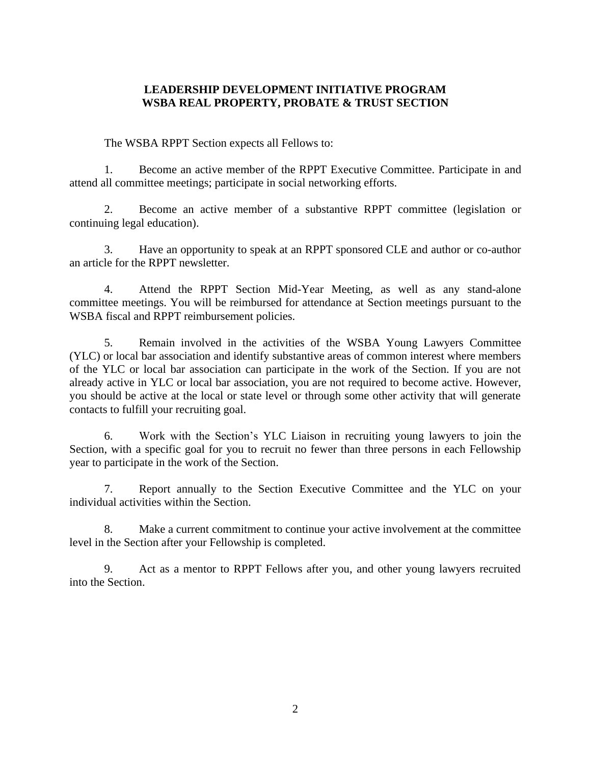## **LEADERSHIP DEVELOPMENT INITIATIVE PROGRAM WSBA REAL PROPERTY, PROBATE & TRUST SECTION**

The WSBA RPPT Section expects all Fellows to:

1. Become an active member of the RPPT Executive Committee. Participate in and attend all committee meetings; participate in social networking efforts.

2. Become an active member of a substantive RPPT committee (legislation or continuing legal education).

3. Have an opportunity to speak at an RPPT sponsored CLE and author or co-author an article for the RPPT newsletter.

4. Attend the RPPT Section Mid-Year Meeting, as well as any stand-alone committee meetings. You will be reimbursed for attendance at Section meetings pursuant to the WSBA fiscal and RPPT reimbursement policies.

5. Remain involved in the activities of the WSBA Young Lawyers Committee (YLC) or local bar association and identify substantive areas of common interest where members of the YLC or local bar association can participate in the work of the Section. If you are not already active in YLC or local bar association, you are not required to become active. However, you should be active at the local or state level or through some other activity that will generate contacts to fulfill your recruiting goal.

6. Work with the Section's YLC Liaison in recruiting young lawyers to join the Section, with a specific goal for you to recruit no fewer than three persons in each Fellowship year to participate in the work of the Section.

7. Report annually to the Section Executive Committee and the YLC on your individual activities within the Section.

8. Make a current commitment to continue your active involvement at the committee level in the Section after your Fellowship is completed.

9. Act as a mentor to RPPT Fellows after you, and other young lawyers recruited into the Section.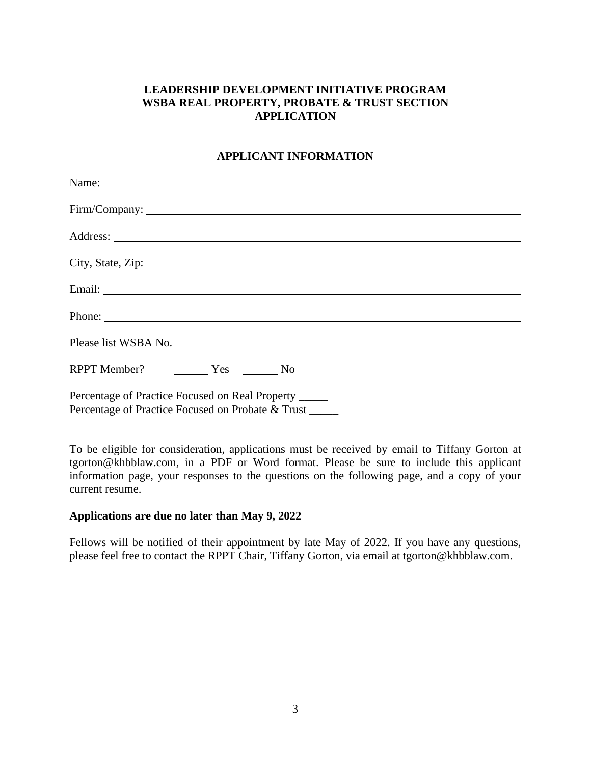# **LEADERSHIP DEVELOPMENT INITIATIVE PROGRAM WSBA REAL PROPERTY, PROBATE & TRUST SECTION APPLICATION**

### **APPLICANT INFORMATION**

| Name:                                                                                                      |
|------------------------------------------------------------------------------------------------------------|
| Firm/Company:                                                                                              |
|                                                                                                            |
|                                                                                                            |
|                                                                                                            |
|                                                                                                            |
| Please list WSBA No.                                                                                       |
| RPPT Member? Ves No                                                                                        |
| Percentage of Practice Focused on Real Property _____<br>Percentage of Practice Focused on Probate & Trust |
|                                                                                                            |

To be eligible for consideration, applications must be received by email to Tiffany Gorton at tgorton@khbblaw.com, in a PDF or Word format. Please be sure to include this applicant information page, your responses to the questions on the following page, and a copy of your current resume.

### **Applications are due no later than May 9, 2022**

Fellows will be notified of their appointment by late May of 2022. If you have any questions, please feel free to contact the RPPT Chair, Tiffany Gorton, via email at tgorton@khbblaw.com.